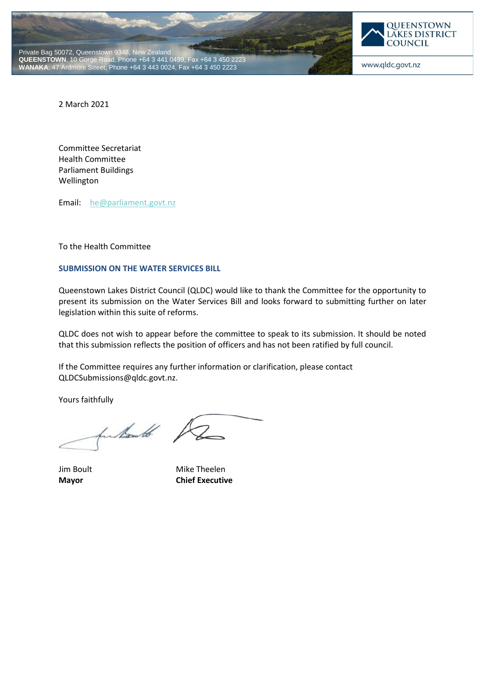



www.qldc.govt.nz

2 March 2021

Committee Secretariat Health Committee Parliament Buildings Wellington

Email: [he@parliament.govt.nz](mailto:he@parliament.govt.nz)

To the Health Committee

### **SUBMISSION ON THE WATER SERVICES BILL**

Queenstown Lakes District Council (QLDC) would like to thank the Committee for the opportunity to present its submission on the Water Services Bill and looks forward to submitting further on later legislation within this suite of reforms.

QLDC does not wish to appear before the committee to speak to its submission. It should be noted that this submission reflects the position of officers and has not been ratified by full council.

If the Committee requires any further information or clarification, please contact QLDCSubmissions@qldc.govt.nz.

Yours faithfully

fundants /

Jim Boult Mike Theelen **Mayor Chief Executive**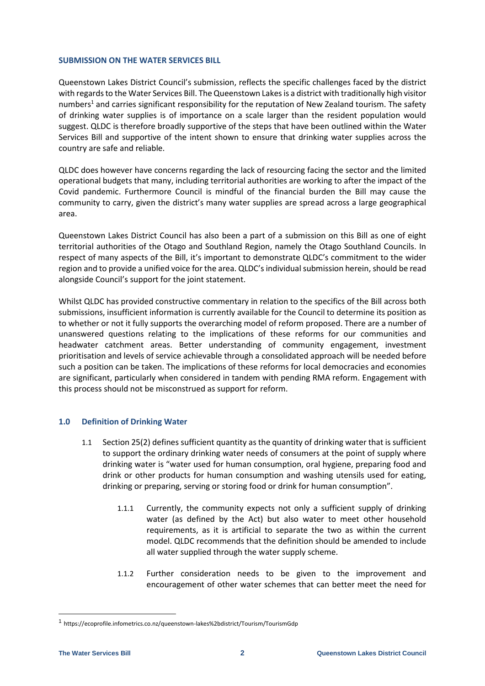#### **SUBMISSION ON THE WATER SERVICES BILL**

Queenstown Lakes District Council's submission, reflects the specific challenges faced by the district with regards to the Water Services Bill. The Queenstown Lakes is a district with traditionally high visitor numbers<sup>1</sup> and carries significant responsibility for the reputation of New Zealand tourism. The safety of drinking water supplies is of importance on a scale larger than the resident population would suggest. QLDC is therefore broadly supportive of the steps that have been outlined within the Water Services Bill and supportive of the intent shown to ensure that drinking water supplies across the country are safe and reliable.

QLDC does however have concerns regarding the lack of resourcing facing the sector and the limited operational budgets that many, including territorial authorities are working to after the impact of the Covid pandemic. Furthermore Council is mindful of the financial burden the Bill may cause the community to carry, given the district's many water supplies are spread across a large geographical area.

Queenstown Lakes District Council has also been a part of a submission on this Bill as one of eight territorial authorities of the Otago and Southland Region, namely the Otago Southland Councils. In respect of many aspects of the Bill, it's important to demonstrate QLDC's commitment to the wider region and to provide a unified voice for the area. QLDC's individual submission herein, should be read alongside Council's support for the joint statement.

Whilst QLDC has provided constructive commentary in relation to the specifics of the Bill across both submissions, insufficient information is currently available for the Council to determine its position as to whether or not it fully supports the overarching model of reform proposed. There are a number of unanswered questions relating to the implications of these reforms for our communities and headwater catchment areas. Better understanding of community engagement, investment prioritisation and levels of service achievable through a consolidated approach will be needed before such a position can be taken. The implications of these reforms for local democracies and economies are significant, particularly when considered in tandem with pending RMA reform. Engagement with this process should not be misconstrued as support for reform.

# **1.0 Definition of Drinking Water**

- 1.1 Section 25(2) defines sufficient quantity as the quantity of drinking water that is sufficient to support the ordinary drinking water needs of consumers at the point of supply where drinking water is "water used for human consumption, oral hygiene, preparing food and drink or other products for human consumption and washing utensils used for eating, drinking or preparing, serving or storing food or drink for human consumption".
	- 1.1.1 Currently, the community expects not only a sufficient supply of drinking water (as defined by the Act) but also water to meet other household requirements, as it is artificial to separate the two as within the current model. QLDC recommends that the definition should be amended to include all water supplied through the water supply scheme.
	- 1.1.2 Further consideration needs to be given to the improvement and encouragement of other water schemes that can better meet the need for

-

<sup>1</sup> https://ecoprofile.infometrics.co.nz/queenstown-lakes%2bdistrict/Tourism/TourismGdp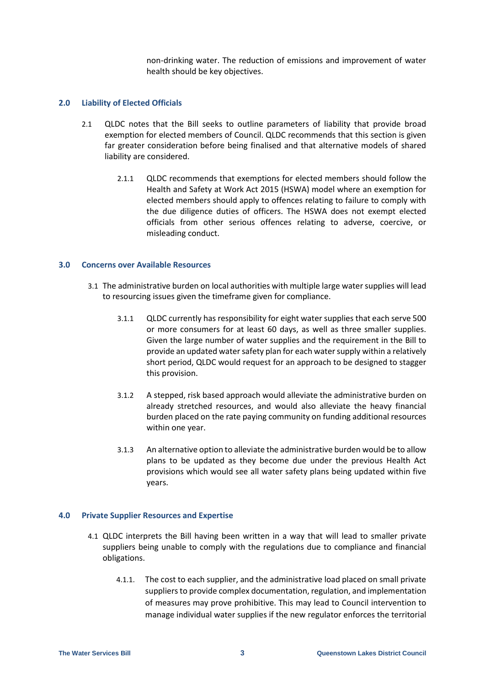non-drinking water. The reduction of emissions and improvement of water health should be key objectives.

### **2.0 Liability of Elected Officials**

- 2.1 QLDC notes that the Bill seeks to outline parameters of liability that provide broad exemption for elected members of Council. QLDC recommends that this section is given far greater consideration before being finalised and that alternative models of shared liability are considered.
	- 2.1.1 QLDC recommends that exemptions for elected members should follow the Health and Safety at Work Act 2015 (HSWA) model where an exemption for elected members should apply to offences relating to failure to comply with the due diligence duties of officers. The HSWA does not exempt elected officials from other serious offences relating to adverse, coercive, or misleading conduct.

### **3.0 Concerns over Available Resources**

- 3.1 The administrative burden on local authorities with multiple large water supplies will lead to resourcing issues given the timeframe given for compliance.
	- 3.1.1 QLDC currently has responsibility for eight water supplies that each serve 500 or more consumers for at least 60 days, as well as three smaller supplies. Given the large number of water supplies and the requirement in the Bill to provide an updated water safety plan for each water supply within a relatively short period, QLDC would request for an approach to be designed to stagger this provision.
	- 3.1.2 A stepped, risk based approach would alleviate the administrative burden on already stretched resources, and would also alleviate the heavy financial burden placed on the rate paying community on funding additional resources within one year.
	- 3.1.3 An alternative option to alleviate the administrative burden would be to allow plans to be updated as they become due under the previous Health Act provisions which would see all water safety plans being updated within five years.

# **4.0 Private Supplier Resources and Expertise**

- 4.1 QLDC interprets the Bill having been written in a way that will lead to smaller private suppliers being unable to comply with the regulations due to compliance and financial obligations.
	- 4.1.1. The cost to each supplier, and the administrative load placed on small private suppliers to provide complex documentation, regulation, and implementation of measures may prove prohibitive. This may lead to Council intervention to manage individual water supplies if the new regulator enforces the territorial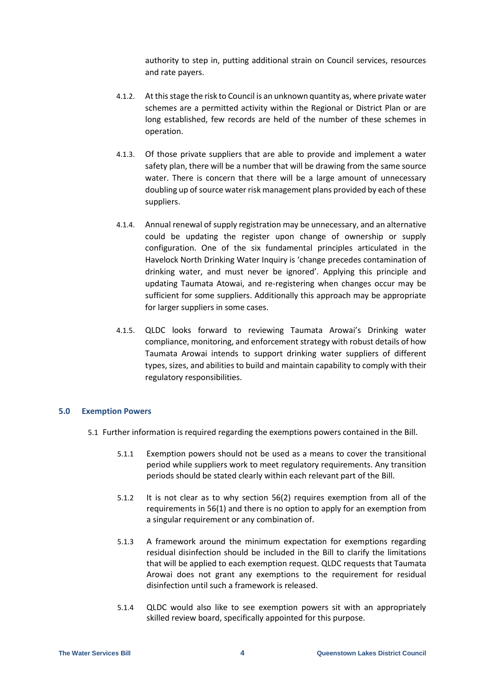authority to step in, putting additional strain on Council services, resources and rate payers.

- 4.1.2. At this stage the risk to Council is an unknown quantity as, where private water schemes are a permitted activity within the Regional or District Plan or are long established, few records are held of the number of these schemes in operation.
- 4.1.3. Of those private suppliers that are able to provide and implement a water safety plan, there will be a number that will be drawing from the same source water. There is concern that there will be a large amount of unnecessary doubling up of source water risk management plans provided by each of these suppliers.
- 4.1.4. Annual renewal of supply registration may be unnecessary, and an alternative could be updating the register upon change of ownership or supply configuration. One of the six fundamental principles articulated in the Havelock North Drinking Water Inquiry is 'change precedes contamination of drinking water, and must never be ignored'. Applying this principle and updating Taumata Atowai, and re-registering when changes occur may be sufficient for some suppliers. Additionally this approach may be appropriate for larger suppliers in some cases.
- 4.1.5. QLDC looks forward to reviewing Taumata Arowai's Drinking water compliance, monitoring, and enforcement strategy with robust details of how Taumata Arowai intends to support drinking water suppliers of different types, sizes, and abilities to build and maintain capability to comply with their regulatory responsibilities.

# **5.0 Exemption Powers**

- 5.1 Further information is required regarding the exemptions powers contained in the Bill.
	- 5.1.1 Exemption powers should not be used as a means to cover the transitional period while suppliers work to meet regulatory requirements. Any transition periods should be stated clearly within each relevant part of the Bill.
	- 5.1.2 It is not clear as to why section 56(2) requires exemption from all of the requirements in 56(1) and there is no option to apply for an exemption from a singular requirement or any combination of.
	- 5.1.3 A framework around the minimum expectation for exemptions regarding residual disinfection should be included in the Bill to clarify the limitations that will be applied to each exemption request. QLDC requests that Taumata Arowai does not grant any exemptions to the requirement for residual disinfection until such a framework is released.
	- 5.1.4 QLDC would also like to see exemption powers sit with an appropriately skilled review board, specifically appointed for this purpose.